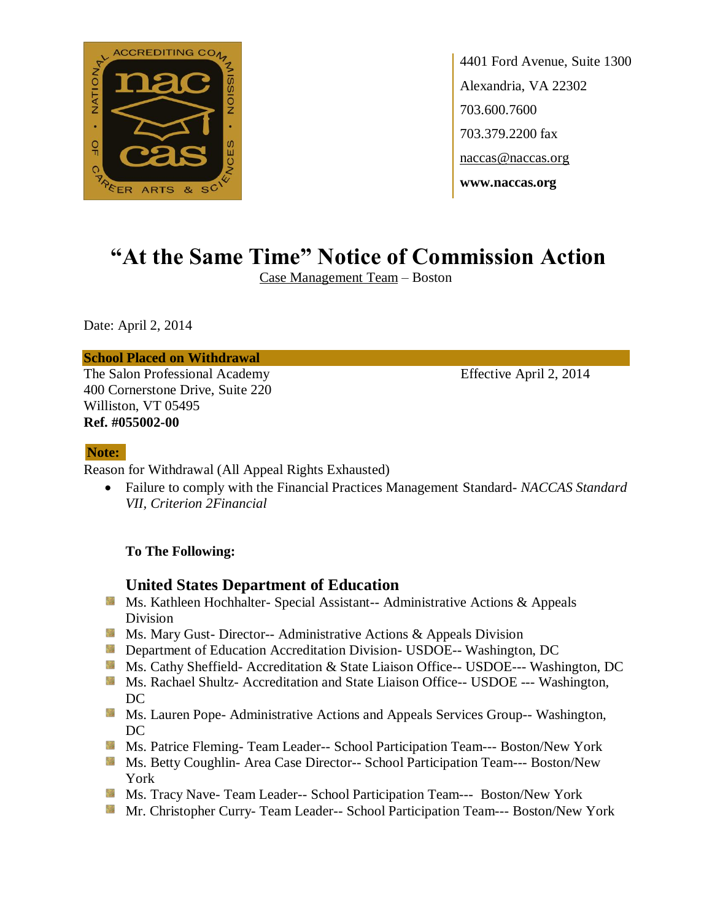

4401 Ford Avenue, Suite 1300 Alexandria, VA 22302 703.600.7600 703.379.2200 fax naccas@naccas.org **www.naccas.org**

# **"At the Same Time" Notice of Commission Action**

Case Management Team – Boston

Date: April 2, 2014

### **School Placed on Withdrawal**

The Salon Professional Academy Effective April 2, 2014 400 Cornerstone Drive, Suite 220 Williston, VT 05495 **Ref. #055002-00**

## **Note:**

Reason for Withdrawal (All Appeal Rights Exhausted)

 Failure to comply with the Financial Practices Management Standard- *NACCAS Standard VII, Criterion 2Financial*

### **To The Following:**

## **United States Department of Education**

- **Ms. Kathleen Hochhalter- Special Assistant-- Administrative Actions & Appeals** Division
- **Ms.** Mary Gust- Director-- Administrative Actions  $\&$  Appeals Division
- **Department of Education Accreditation Division- USDOE-- Washington, DC**
- Ms. Cathy Sheffield- Accreditation & State Liaison Office-- USDOE--- Washington, DC
- Ms. Rachael Shultz- Accreditation and State Liaison Office-- USDOE --- Washington, DC
- Ms. Lauren Pope- Administrative Actions and Appeals Services Group-- Washington, DC
- Ms. Patrice Fleming-Team Leader-- School Participation Team--- Boston/New York
- Ms. Betty Coughlin- Area Case Director-- School Participation Team--- Boston/New York
- Ms. Tracy Nave-Team Leader-- School Participation Team--- Boston/New York
- Mr. Christopher Curry- Team Leader-- School Participation Team--- Boston/New York